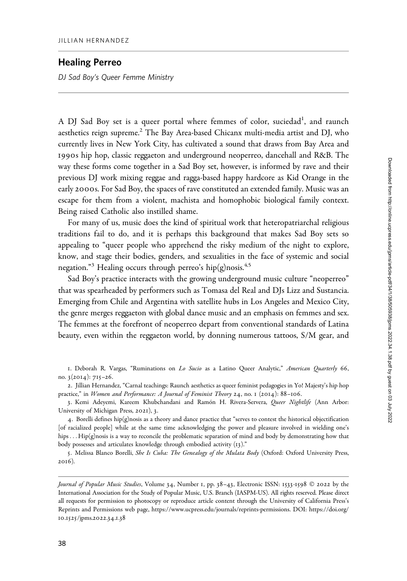## Healing Perreo

DJ Sad Boy's Queer Femme Ministry

A DJ Sad Boy set is a queer portal where femmes of color, suciedad<sup>1</sup>, and raunch aesthetics reign supreme.<sup>2</sup> The Bay Area-based Chicanx multi-media artist and DJ, who currently lives in New York City, has cultivated a sound that draws from Bay Area and 1990s hip hop, classic reggaeton and underground neoperreo, dancehall and R&B. The way these forms come together in a Sad Boy set, however, is informed by rave and their previous DJ work mixing reggae and ragga-based happy hardcore as Kid Orange in the early 2000s. For Sad Boy, the spaces of rave constituted an extended family. Music was an escape for them from a violent, machista and homophobic biological family context. Being raised Catholic also instilled shame.

For many of us, music does the kind of spiritual work that heteropatriarchal religious traditions fail to do, and it is perhaps this background that makes Sad Boy sets so appealing to "queer people who apprehend the risky medium of the night to explore, know, and stage their bodies, genders, and sexualities in the face of systemic and social negation."<sup>3</sup> Healing occurs through perreo's hip(g)nosis.<sup>4,5</sup>

Sad Boy's practice interacts with the growing underground music culture "neoperreo" that was spearheaded by performers such as Tomasa del Real and DJs Lizz and Sustancia. Emerging from Chile and Argentina with satellite hubs in Los Angeles and Mexico City, the genre merges reggaeton with global dance music and an emphasis on femmes and sex. The femmes at the forefront of neoperreo depart from conventional standards of Latina beauty, even within the reggaeton world, by donning numerous tattoos, S/M gear, and

1. Deborah R. Vargas, "Ruminations on Lo Sucio as a Latino Queer Analytic," American Quarterly 66, no. 3(2014): 715–26.

2. Jillian Hernandez, "Carnal teachings: Raunch aesthetics as queer feminist pedagogies in Yo! Majesty's hip hop practice," in Women and Performance: A Journal of Feminist Theory 24, no. 1 (2014): 88-106.

3. Kemi Adeyemi, Kareem Khubchandani and Ramón H. Rivera-Servera, Queer Nightlife (Ann Arbor: University of Michigan Press, 2021), 3.

4. Borelli defines hip(g)nosis as a theory and dance practice that "serves to contest the historical objectification [of racialized people] while at the same time acknowledging the power and pleasure involved in wielding one's hips ... Hip(g)nosis is a way to reconcile the problematic separation of mind and body by demonstrating how that body possesses and articulates knowledge through embodied activity (13)."

5. Melissa Blanco Borelli, She Is Cuba: The Genealogy of the Mulata Body (Oxford: Oxford University Press, 2016).

Journal of Popular Music Studies, Volume 34, Number 1, pp. 38-43, Electronic ISSN: 1533-1598 © 2022 by the International Association for the Study of Popular Music, U.S. Branch (IASPM-US). All rights reserved. Please direct all requests for permission to photocopy or reproduce article content through the University of California Press's Reprints and Permissions web page, [https://www.ucpress.edu/journals/reprints-permissions.](https://www.ucpress.edu/journals/reprints-permissions) [DOI: https://doi.org/](https://doi.org/10.1525/jpms.2022.34.1.38) 10.1525[/jpms.](https://doi.org/10.1525/jpms.2022.34.1.38)2022.34.1.38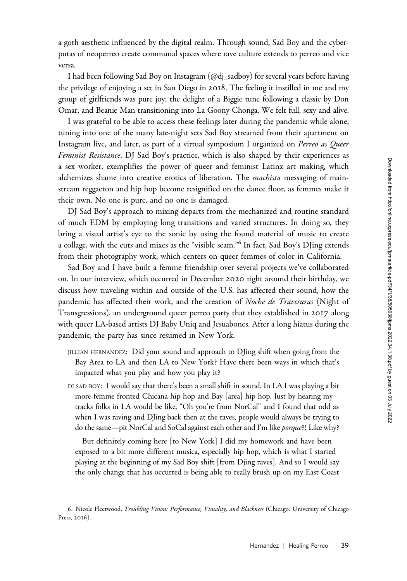a goth aesthetic influenced by the digital realm. Through sound, Sad Boy and the cyberputas of neoperreo create communal spaces where rave culture extends to perreo and vice versa.

I had been following Sad Boy on Instagram (@dj\_sadboy) for several years before having the privilege of enjoying a set in San Diego in 2018. The feeling it instilled in me and my group of girlfriends was pure joy; the delight of a Biggie tune following a classic by Don Omar, and Beanie Man transitioning into La Goony Chonga. We felt full, sexy and alive.

I was grateful to be able to access these feelings later during the pandemic while alone, tuning into one of the many late-night sets Sad Boy streamed from their apartment on Instagram live, and later, as part of a virtual symposium I organized on Perreo as Queer Feminist Resistance. DJ Sad Boy's practice, which is also shaped by their experiences as a sex worker, exemplifies the power of queer and feminist Latinx art making, which alchemizes shame into creative erotics of liberation. The *machista* messaging of mainstream reggaeton and hip hop become resignified on the dance floor, as femmes make it their own. No one is pure, and no one is damaged.

DJ Sad Boy's approach to mixing departs from the mechanized and routine standard of much EDM by employing long transitions and varied structures. In doing so, they bring a visual artist's eye to the sonic by using the found material of music to create a collage, with the cuts and mixes as the "visible seam."6 In fact, Sad Boy's DJing extends from their photography work, which centers on queer femmes of color in California.

Sad Boy and I have built a femme friendship over several projects we've collaborated on. In our interview, which occurred in December 2020 right around their birthday, we discuss how traveling within and outside of the U.S. has affected their sound, how the pandemic has affected their work, and the creation of Noche de Travesuras (Night of Transgressions), an underground queer perreo party that they established in 2017 along with queer LA-based artists DJ Baby Uniq and Jesuabones. After a long hiatus during the pandemic, the party has since resumed in New York.

- JILLIAN HERNANDEZ: Did your sound and approach to DJing shift when going from the Bay Area to LA and then LA to New York? Have there been ways in which that's impacted what you play and how you play it?
- DJ SAD BOY: I would say that there's been a small shift in sound. In LA I was playing a bit more femme fronted Chicana hip hop and Bay [area] hip hop. Just by hearing my tracks folks in LA would be like, "Oh you're from NorCal" and I found that odd as when I was raving and DJing back then at the raves, people would always be trying to do the same—pit NorCal and SoCal against each other and I'm like porque?! Like why?

But definitely coming here [to New York] I did my homework and have been exposed to a bit more different musica, especially hip hop, which is what I started playing at the beginning of my Sad Boy shift [from Djing raves]. And so I would say the only change that has occurred is being able to really brush up on my East Coast

<sup>6</sup>. Nicole Fleetwood, Troubling Vision: Performance, Visuality, and Blackness (Chicago: University of Chicago Press, 2016).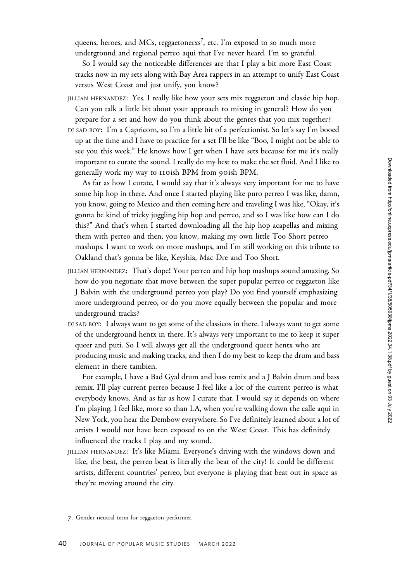queens, heroes, and MCs, reggaetonerxs<sup>7</sup>, etc. I'm exposed to so much more underground and regional perreo aqui that I've never heard. I'm so grateful.

So I would say the noticeable differences are that I play a bit more East Coast tracks now in my sets along with Bay Area rappers in an attempt to unify East Coast versus West Coast and just unify, you know?

- JILLIAN HERNANDEZ: Yes. I really like how your sets mix reggaeton and classic hip hop. Can you talk a little bit about your approach to mixing in general? How do you prepare for a set and how do you think about the genres that you mix together?
- DJ SAD BOY: I'm a Capricorn, so I'm a little bit of a perfectionist. So let's say I'm booed up at the time and I have to practice for a set I'll be like "Boo, I might not be able to see you this week." He knows how I get when I have sets because for me it's really important to curate the sound. I really do my best to make the set fluid. And I like to generally work my way to 110ish BPM from 90ish BPM.

As far as how I curate, I would say that it's always very important for me to have some hip hop in there. And once I started playing like puro perreo I was like, damn, you know, going to Mexico and then coming here and traveling I was like, "Okay, it's gonna be kind of tricky juggling hip hop and perreo, and so I was like how can I do this?" And that's when I started downloading all the hip hop acapellas and mixing them with perreo and then, you know, making my own little Too Short perreo mashups. I want to work on more mashups, and I'm still working on this tribute to Oakland that's gonna be like, Keyshia, Mac Dre and Too Short.

- JILLIAN HERNANDEZ: That's dope! Your perreo and hip hop mashups sound amazing. So how do you negotiate that move between the super popular perreo or reggaeton like J Balvin with the underground perreo you play? Do you find yourself emphasizing more underground perreo, or do you move equally between the popular and more underground tracks?
- DJ SAD BOY: I always want to get some of the classicos in there. I always want to get some of the underground hentx in there. It's always very important to me to keep it super queer and puti. So I will always get all the underground queer hentx who are producing music and making tracks, and then I do my best to keep the drum and bass element in there tambien.

For example, I have a Bad Gyal drum and bass remix and a J Balvin drum and bass remix. I'll play current perreo because I feel like a lot of the current perreo is what everybody knows. And as far as how I curate that, I would say it depends on where I'm playing. I feel like, more so than LA, when you're walking down the calle aqui in New York, you hear the Dembow everywhere. So I've definitely learned about a lot of artists I would not have been exposed to on the West Coast. This has definitely influenced the tracks I play and my sound.

JILLIAN HERNANDEZ: It's like Miami. Everyone's driving with the windows down and like, the beat, the perreo beat is literally the beat of the city! It could be different artists, different countries' perreo, but everyone is playing that beat out in space as they're moving around the city.

<sup>7</sup>. Gender neutral term for reggaeton performer.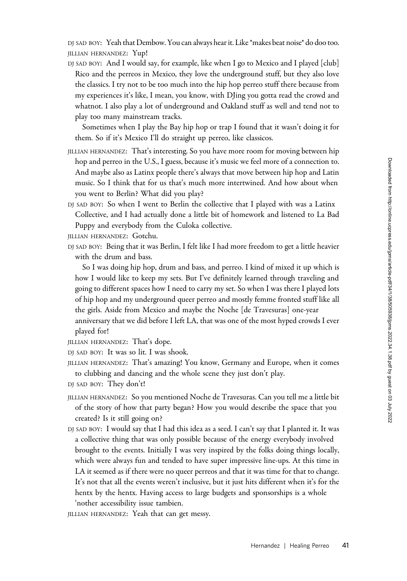DJ SAD BOY: Yeah that Dembow. You can always hear it. Like \*makes beat noise\* do doo too. JILLIAN HERNANDEZ: Yup!

DJ SAD BOY: And I would say, for example, like when I go to Mexico and I played [club] Rico and the perreos in Mexico, they love the underground stuff, but they also love the classics. I try not to be too much into the hip hop perreo stuff there because from my experiences it's like, I mean, you know, with DJing you gotta read the crowd and whatnot. I also play a lot of underground and Oakland stuff as well and tend not to play too many mainstream tracks.

Sometimes when I play the Bay hip hop or trap I found that it wasn't doing it for them. So if it's Mexico I'll do straight up perreo, like classicos.

- JILLIAN HERNANDEZ: That's interesting. So you have more room for moving between hip hop and perreo in the U.S., I guess, because it's music we feel more of a connection to. And maybe also as Latinx people there's always that move between hip hop and Latin music. So I think that for us that's much more intertwined. And how about when you went to Berlin? What did you play?
- DJ SAD BOY: So when I went to Berlin the collective that I played with was a Latinx Collective, and I had actually done a little bit of homework and listened to La Bad Puppy and everybody from the Culoka collective.

JILLIAN HERNANDEZ: Gotchu.

- DJ SAD BOY: Being that it was Berlin, I felt like I had more freedom to get a little heavier with the drum and bass.
	- So I was doing hip hop, drum and bass, and perreo. I kind of mixed it up which is how I would like to keep my sets. But I've definitely learned through traveling and going to different spaces how I need to carry my set. So when I was there I played lots of hip hop and my underground queer perreo and mostly femme fronted stuff like all the girls. Aside from Mexico and maybe the Noche [de Travesuras] one-year anniversary that we did before I left LA, that was one of the most hyped crowds I ever

played for!

- JILLIAN HERNANDEZ: That's dope.
- DJ SAD BOY: It was so lit. I was shook.
- JILLIAN HERNANDEZ: That's amazing! You know, Germany and Europe, when it comes to clubbing and dancing and the whole scene they just don't play.
- DJ SAD BOY: They don't!
- JILLIAN HERNANDEZ: So you mentioned Noche de Travesuras. Can you tell me a little bit of the story of how that party began? How you would describe the space that you created? Is it still going on?
- DJ SAD BOY: I would say that I had this idea as a seed. I can't say that I planted it. It was a collective thing that was only possible because of the energy everybody involved brought to the events. Initially I was very inspired by the folks doing things locally, which were always fun and tended to have super impressive line-ups. At this time in LA it seemed as if there were no queer perreos and that it was time for that to change. It's not that all the events weren't inclusive, but it just hits different when it's for the hentx by the hentx. Having access to large budgets and sponsorships is a whole 'nother accessibility issue tambien.

JILLIAN HERNANDEZ: Yeah that can get messy.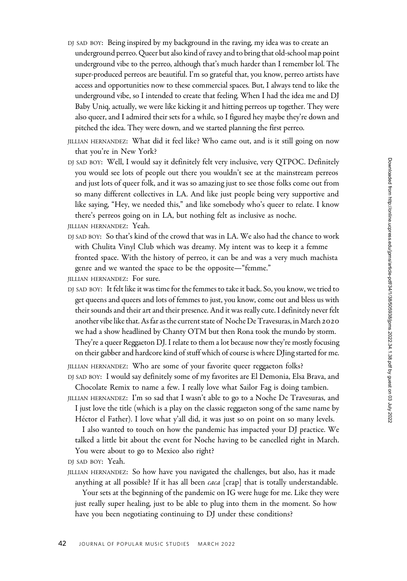- DJ SAD BOY: Being inspired by my background in the raving, my idea was to create an underground perreo. Queer but also kind of ravey and to bring that old-school map point underground vibe to the perreo, although that's much harder than I remember lol. The super-produced perreos are beautiful. I'm so grateful that, you know, perreo artists have access and opportunities now to these commercial spaces. But, I always tend to like the underground vibe, so I intended to create that feeling. When I had the idea me and DJ Baby Uniq, actually, we were like kicking it and hitting perreos up together. They were also queer, and I admired their sets for a while, so I figured hey maybe they're down and pitched the idea. They were down, and we started planning the first perreo.
- JILLIAN HERNANDEZ: What did it feel like? Who came out, and is it still going on now that you're in New York?
- DJ SAD BOY: Well, I would say it definitely felt very inclusive, very QTPOC. Definitely you would see lots of people out there you wouldn't see at the mainstream perreos and just lots of queer folk, and it was so amazing just to see those folks come out from so many different collectives in LA. And like just people being very supportive and like saying, "Hey, we needed this," and like somebody who's queer to relate. I know there's perreos going on in LA, but nothing felt as inclusive as noche.

JILLIAN HERNANDEZ: Yeah.

DJ SAD BOY: So that's kind of the crowd that was in LA. We also had the chance to work with Chulita Vinyl Club which was dreamy. My intent was to keep it a femme fronted space. With the history of perreo, it can be and was a very much machista genre and we wanted the space to be the opposite—"femme."

JILLIAN HERNANDEZ: For sure.

DJ SAD BOY: It felt like it was time for the femmes to take it back. So, you know, we tried to get queens and queers and lots of femmes to just, you know, come out and bless us with their sounds and their art and their presence. And it was really cute. I definitely never felt another vibe like that. As far as the current state of Noche De Travesuras, in March 2020 we had a show headlined by Chanty OTM but then Rona took the mundo by storm. They're a queer Reggaeton DJ. I relate to them a lot because now they're mostly focusing on their gabber and hardcore kind of stuff which of course is where DJing started for me.

JILLIAN HERNANDEZ: Who are some of your favorite queer reggaeton folks?

DJ SAD BOY: I would say definitely some of my favorites are El Demonia, Elsa Brava, and Chocolate Remix to name a few. I really love what Sailor Fag is doing tambien.

JILLIAN HERNANDEZ: I'm so sad that I wasn't able to go to a Noche De Travesuras, and I just love the title (which is a play on the classic reggaeton song of the same name by Héctor el Father). I love what y'all did, it was just so on point on so many levels.

I also wanted to touch on how the pandemic has impacted your DJ practice. We talked a little bit about the event for Noche having to be cancelled right in March.

You were about to go to Mexico also right?

DI SAD BOY: Yeah.

JILLIAN HERNANDEZ: So how have you navigated the challenges, but also, has it made anything at all possible? If it has all been *caca* [crap] that is totally understandable.

Your sets at the beginning of the pandemic on IG were huge for me. Like they were just really super healing, just to be able to plug into them in the moment. So how have you been negotiating continuing to DJ under these conditions?